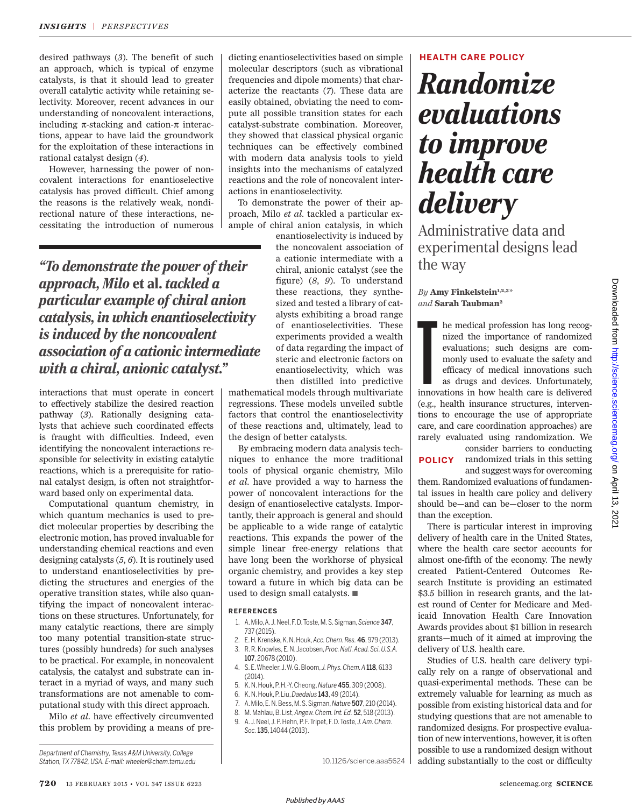desired pathways (3). The benefit of such an approach, which is typical of enzyme catalysts, is that it should lead to greater overall catalytic activity while retaining selectivity. Moreover, recent advances in our understanding of noncovalent interactions, including  $\pi$ -stacking and cation- $\pi$  interactions, appear to have laid the groundwork for the exploitation of these interactions in rational catalyst design (4).

However, harnessing the power of noncovalent interactions for enantioselective catalysis has proved difficult. Chief among the reasons is the relatively weak, nondirectional nature of these interactions, necessitating the introduction of numerous

*"To demonstrate the power of their approach, Milo* et al. *tackled a particular example of chiral anion catalysis, in which enantioselectivity is induced by the noncovalent association of a cationic intermediate with a chiral, anionic catalyst."*

interactions that must operate in concert to effectively stabilize the desired reaction pathway (3). Rationally designing catalysts that achieve such coordinated effects is fraught with difficulties. Indeed, even identifying the noncovalent interactions responsible for selectivity in existing catalytic reactions, which is a prerequisite for rational catalyst design, is often not straightforward based only on experimental data.

Computational quantum chemistry, in which quantum mechanics is used to predict molecular properties by describing the electronic motion, has proved invaluable for understanding chemical reactions and even designing catalysts  $(5, 6)$ . It is routinely used to understand enantioselectivities by predicting the structures and energies of the operative transition states, while also quantifying the impact of noncovalent interactions on these structures. Unfortunately, for many catalytic reactions, there are simply too many potential transition-state structures (possibly hundreds) for such analyses to be practical. For example, in noncovalent catalysis, the catalyst and substrate can interact in a myriad of ways, and many such transformations are not amenable to computational study with this direct approach.

Milo *et al*. have effectively circumvented this problem by providing a means of pre-

*Department of Chemistry, Texas A&M University, College Station, TX 77842, USA. E-mail: wheeler@chem.tamu.edu*

dicting enantioselectivities based on simple molecular descriptors (such as vibrational frequencies and dipole moments) that characterize the reactants (7). These data are easily obtained, obviating the need to compute all possible transition states for each catalyst-substrate combination. Moreover, they showed that classical physical organic techniques can be effectively combined with modern data analysis tools to yield insights into the mechanisms of catalyzed reactions and the role of noncovalent interactions in enantioselectivity.

To demonstrate the power of their approach, Milo *et al*. tackled a particular example of chiral anion catalysis, in which

enantioselectivity is induced by the noncovalent association of a cationic intermediate with a chiral, anionic catalyst (see the figure) ( *8*, *9*). To understand these reactions, they synthesized and tested a library of catalysts exhibiting a broad range of enantioselectivities. These experiments provided a wealth of data regarding the impact of steric and electronic factors on enantioselectivity, which was then distilled into predictive

mathematical models through multivariate regressions. These models unveiled subtle factors that control the enantioselectivity of these reactions and, ultimately, lead to the design of better catalysts.

By embracing modern data analysis techniques to enhance the more traditional tools of physical organic chemistry, Milo *et al*. have provided a way to harness the power of noncovalent interactions for the design of enantioselective catalysts. Importantly, their approach is general and should be applicable to a wide range of catalytic reactions. This expands the power of the simple linear free-energy relations that have long been the workhorse of physical organic chemistry, and provides a key step toward a future in which big data can be used to design small catalysts. ■

#### **REFERENCES**

- 1. A. Milo, A. J. Neel, F. D. Toste, M. S. Sigman, *Science* 347, 737 (2015).
- 2. E. H. Krenske, K. N. Houk, *Acc. Chem. Res.* 46, 979 (2013).
- 3. R. R. Knowles, E. N. Jacobsen, *Proc. Natl. Acad. Sci. U.S.A.* 107, 20678 (2010).
- 4. S. E. Wheeler, J. W. G. Bloom, *J. Phys. Chem. A* 118, 6133 (2014).
- 5. K. N. Houk, P. H.-Y. Cheong, *Nature* 455, 309 (2008).
- 6. K. N. Houk, P. Liu, *Daedalus* 143, 49 (2014).
- 7. A. Milo, E. N. Bess, M. S. Sigman, *Nature* 507, 210 (2014).
- 8. M. Mahlau, B. List, *Angew. Chem. Int. Ed.* 52, 518 (2013).
- 9. A. J. Neel, J. P. Hehn, P. F. Tripet, F. D. Toste, *J. Am. Chem.*
- *Soc.*135, 14044 (2013).

## **HEALTH CARE POLICY**

# *Randomize evaluations to improve health care delivery*

Administrative data and experimental designs lead the way

*By* Amy Finkelstein<sup>1,2,3*\**</sup> *and* **Sarah Taubman<sup>2</sup>**

In the medical profession has long recognized the importance of randomized evaluations; such designs are commonly used to evaluate the safety and efficacy of medical innovations such as drugs and devices. Unfortunately, in nized the importance of randomized evaluations; such designs are commonly used to evaluate the safety and efficacy of medical innovations such as drugs and devices. Unfortunately, (e.g., health insurance structures, interventions to encourage the use of appropriate care, and care coordination approaches) are rarely evaluated using randomization. We

consider barriers to conducting randomized trials in this setting and suggest ways for overcoming **POLICY**

them. Randomized evaluations of fundamental issues in health care policy and delivery should be—and can be—closer to the norm than the exception.

There is particular interest in improving delivery of health care in the United States, where the health care sector accounts for almost one-fifth of the economy. The newly created Patient-Centered Outcomes Research Institute is providing an estimated \$3.5 billion in research grants, and the latest round of Center for Medicare and Medicaid Innovation Health Care Innovation Awards provides about \$1 billion in research grants—much of it aimed at improving the delivery of U.S. health care.

Studies of U.S. health care delivery typically rely on a range of observational and quasi-experimental methods. These can be extremely valuable for learning as much as possible from existing historical data and for studying questions that are not amenable to randomized designs. For prospective evaluation of new interventions, however, it is often possible to use a randomized design without adding substantially to the cost or difficulty

10.1126/science.aaa5624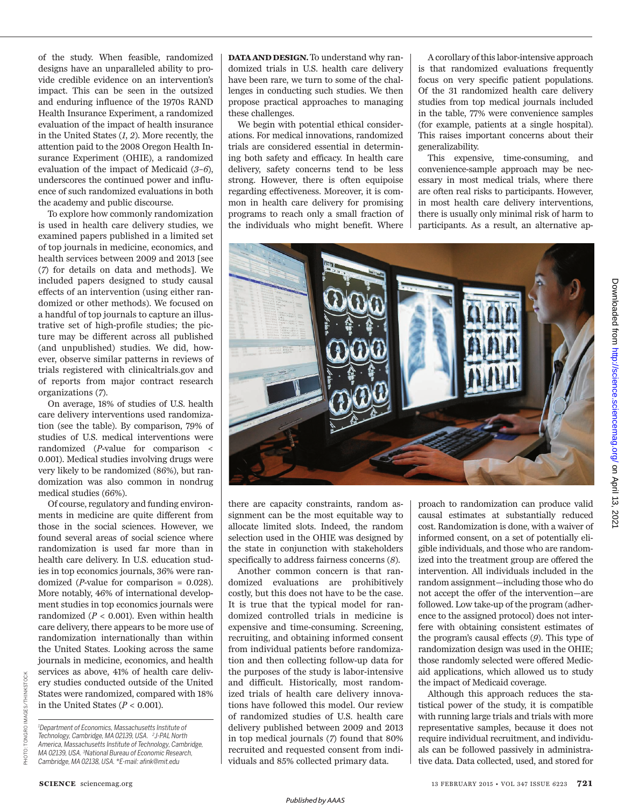of the study. When feasible, randomized designs have an unparalleled ability to provide credible evidence on an intervention's impact. This can be seen in the outsized and enduring influence of the 1970s RAND Health Insurance Experiment, a randomized evaluation of the impact of health insurance in the United States (*1*, *2*). More recently, the attention paid to the 2008 Oregon Health Insurance Experiment (OHIE), a randomized evaluation of the impact of Medicaid  $(3-6)$ , underscores the continued power and influence of such randomized evaluations in both the academy and public discourse.

To explore how commonly randomization is used in health care delivery studies, we examined papers published in a limited set of top journals in medicine, economics, and health services between 2009 and 2013 [see ( *7*) for details on data and methods]. We included papers designed to study causal effects of an intervention (using either randomized or other methods). We focused on a handful of top journals to capture an illustrative set of high-profile studies; the picture may be different across all published (and unpublished) studies. We did, however, observe similar patterns in reviews of trials registered with clinicaltrials.gov and of reports from major contract research organizations ( *7*).

On average, 18% of studies of U.S. health care delivery interventions used randomization (see the table). By comparison, 79% of studies of U.S. medical interventions were randomized (*P*-value for comparison < 0.001). Medical studies involving drugs were very likely to be randomized (86%), but randomization was also common in nondrug medical studies (66%).

Of course, regulatory and funding environments in medicine are quite different from those in the social sciences. However, we found several areas of social science where randomization is used far more than in health care delivery. In U.S. education studies in top economics journals, 36% were randomized (*P*-value for comparison = 0.028). More notably, 46% of international development studies in top economics journals were randomized  $(P < 0.001)$ . Even within health care delivery, there appears to be more use of randomization internationally than within the United States. Looking across the same journals in medicine, economics, and health services as above, 41% of health care delivery studies conducted outside of the United States were randomized, compared with 18% in the United States  $(P < 0.001)$ .

*<sup>1</sup>Department of Economics, Massachusetts Institute of Technology, Cambridge, MA 02139, USA. 2 J-PAL North America, Massachusetts Institute of Technology, Cambridge, MA 02139, USA. <sup>3</sup>National Bureau of Economic Research, Cambridge, MA 02138, USA. \*E-mail: afnk@mit.edu*

**DATA AND DESIGN.**To understand why randomized trials in U.S. health care delivery have been rare, we turn to some of the challenges in conducting such studies. We then propose practical approaches to managing these challenges.

We begin with potential ethical considerations. For medical innovations, randomized trials are considered essential in determining both safety and efficacy. In health care delivery, safety concerns tend to be less strong. However, there is often equipoise regarding effectiveness. Moreover, it is common in health care delivery for promising programs to reach only a small fraction of the individuals who might benefit. Where

A corollary of this labor-intensive approach is that randomized evaluations frequently focus on very specific patient populations. Of the 31 randomized health care delivery studies from top medical journals included in the table, 77% were convenience samples (for example, patients at a single hospital). This raises important concerns about their generalizability.

This expensive, time-consuming, and convenience-sample approach may be necessary in most medical trials, where there are often real risks to participants. However, in most health care delivery interventions, there is usually only minimal risk of harm to participants. As a result, an alternative ap-



there are capacity constraints, random assignment can be the most equitable way to allocate limited slots. Indeed, the random selection used in the OHIE was designed by the state in conjunction with stakeholders specifically to address fairness concerns (*8*).

Another common concern is that randomized evaluations are prohibitively costly, but this does not have to be the case. It is true that the typical model for randomized controlled trials in medicine is expensive and time-consuming. Screening, recruiting, and obtaining informed consent from individual patients before randomization and then collecting follow-up data for the purposes of the study is labor-intensive and difficult. Historically, most randomized trials of health care delivery innovations have followed this model. Our review of randomized studies of U.S. health care delivery published between 2009 and 2013 in top medical journals (*7*) found that 80% recruited and requested consent from individuals and 85% collected primary data.

proach to randomization can produce valid causal estimates at substantially reduced cost. Randomization is done, with a waiver of informed consent, on a set of potentially eligible individuals, and those who are randomized into the treatment group are offered the intervention. All individuals included in the random assignment—including those who do not accept the offer of the intervention—are followed. Low take-up of the program (adherence to the assigned protocol) does not interfere with obtaining consistent estimates of the program's causal effects (*9*). This type of randomization design was used in the OHIE; those randomly selected were offered Medicaid applications, which allowed us to study the impact of Medicaid coverage.

Although this approach reduces the statistical power of the study, it is compatible with running large trials and trials with more representative samples, because it does not require individual recruitment, and individuals can be followed passively in administrative data. Data collected, used, and stored for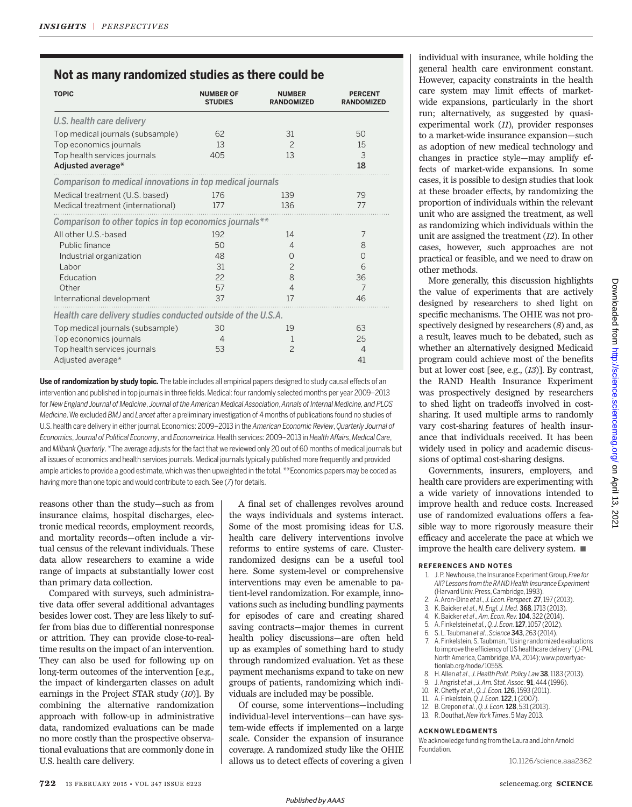# **Not as many randomized studies as there could be**

| <b>TOPIC</b>                                                 | <b>NUMBER OF</b><br><b>STUDIES</b> | <b>NUMBER</b><br><b>RANDOMIZED</b> | <b>PERCENT</b><br><b>RANDOMIZED</b> |
|--------------------------------------------------------------|------------------------------------|------------------------------------|-------------------------------------|
| U.S. health care delivery                                    |                                    |                                    |                                     |
| Top medical journals (subsample)                             | 62                                 | 31                                 | 50                                  |
| Top economics journals                                       | 13                                 | $\overline{c}$                     | 15                                  |
| Top health services journals                                 | 405                                | 13                                 | 3                                   |
| Adjusted average*                                            |                                    |                                    | 18                                  |
| Comparison to medical innovations in top medical journals    |                                    |                                    |                                     |
| Medical treatment (U.S. based)                               | 176                                | 139                                | 79                                  |
| Medical treatment (international)                            | 177                                | 136                                | 77                                  |
| Comparison to other topics in top economics journals**       |                                    |                                    |                                     |
| All other U.S.-based                                         | 192                                | 14                                 | 7                                   |
| Public finance                                               | 50                                 | $\overline{4}$                     | 8                                   |
| Industrial organization                                      | 48                                 | $\Omega$                           | $\Omega$                            |
| Labor                                                        | 31                                 | $\overline{c}$                     | 6                                   |
| Education                                                    | 22                                 | 8                                  | 36                                  |
| Other                                                        | 57                                 | $\overline{4}$                     | 7                                   |
| International development                                    | 37                                 | 17                                 | 46                                  |
| Health care delivery studies conducted outside of the U.S.A. |                                    |                                    |                                     |
| Top medical journals (subsample)                             | 30                                 | 19                                 | 63                                  |
| Top economics journals                                       | $\overline{4}$                     | 1                                  | 25                                  |
| Top health services journals                                 | 53                                 | $\overline{c}$                     | $\overline{4}$                      |
| Adjusted average*                                            |                                    |                                    | 41                                  |

**Use of randomization by study topic.** The table includes all empirical papers designed to study causal effects of an intervention and published in top journals in three fields. Medical: four randomly selected months per year 2009–2013 for *New England Journal of Medicine*, *Journal of the American Medical Association*, *Annals of Internal Medicine, and PLOS Medicine*. We excluded *BMJ* and *Lancet* after a preliminary investigation of 4 months of publications found no studies of U.S. health care delivery in either journal. Economics: 2009–2013 in the *American Economic Review*, *Quarterly Journal of Economics*, *Journal of Political Economy*, and *Econometrica*. Health services: 2009–2013 in *Health Affairs*, *Medical Care*, and *Milbank Quarterly*. \*The average adjusts for the fact that we reviewed only 20 out of 60 months of medical journals but all issues of economics and health services journals. Medical journals typically published more frequently and provided ample articles to provide a good estimate, which was then upweighted in the total. \*\*Economics papers may be coded as having more than one topic and would contribute to each. See (7) for details.

reasons other than the study—such as from insurance claims, hospital discharges, electronic medical records, employment records, and mortality records—often include a virtual census of the relevant individuals. These data allow researchers to examine a wide range of impacts at substantially lower cost than primary data collection.

Compared with surveys, such administrative data offer several additional advantages besides lower cost. They are less likely to suffer from bias due to differential nonresponse or attrition. They can provide close-to-realtime results on the impact of an intervention. They can also be used for following up on long-term outcomes of the intervention [e.g., the impact of kindergarten classes on adult earnings in the Project STAR study (10)]. By combining the alternative randomization approach with follow-up in administrative data, randomized evaluations can be made no more costly than the prospective observational evaluations that are commonly done in U.S. health care delivery.

A final set of challenges revolves around the ways individuals and systems interact. Some of the most promising ideas for U.S. health care delivery interventions involve reforms to entire systems of care. Clusterrandomized designs can be a useful tool here. Some system-level or comprehensive interventions may even be amenable to patient-level randomization. For example, innovations such as including bundling payments for episodes of care and creating shared saving contracts—major themes in current health policy discussions—are often held up as examples of something hard to study through randomized evaluation. Yet as these payment mechanisms expand to take on new groups of patients, randomizing which individuals are included may be possible.

Of course, some interventions—including individual-level interventions—can have system-wide effects if implemented on a large scale. Consider the expansion of insurance coverage. A randomized study like the OHIE allows us to detect effects of covering a given individual with insurance, while holding the general health care environment constant. However, capacity constraints in the health care system may limit effects of marketwide expansions, particularly in the short run; alternatively, as suggested by quasiexperimental work (11), provider responses to a market-wide insurance expansion—such as adoption of new medical technology and changes in practice style—may amplify effects of market-wide expansions. In some cases, it is possible to design studies that look at these broader effects, by randomizing the proportion of individuals within the relevant unit who are assigned the treatment, as well as randomizing which individuals within the unit are assigned the treatment (12). In other cases, however, such approaches are not practical or feasible, and we need to draw on other methods.

More generally, this discussion highlights the value of experiments that are actively designed by researchers to shed light on specific mechanisms. The OHIE was not prospectively designed by researchers (8) and, as a result, leaves much to be debated, such as whether an alternatively designed Medicaid program could achieve most of the benefits but at lower cost [see, e.g.,  $(13)$ ]. By contrast, the RAND Health Insurance Experiment was prospectively designed by researchers to shed light on tradeoffs involved in costsharing. It used multiple arms to randomly vary cost-sharing features of health insurance that individuals received. It has been widely used in policy and academic discussions of optimal cost-sharing designs.

Governments, insurers, employers, and health care providers are experimenting with a wide variety of innovations intended to improve health and reduce costs. Increased use of randomized evaluations offers a feasible way to more rigorously measure their efficacy and accelerate the pace at which we improve the health care delivery system. ■

## **REFERENCES AND NOTES**

- 1. J. P. Newhouse, the Insurance Experiment Group, *Free for All? Lessons from the RAND Health Insurance Experiment* (Harvard Univ. Press, Cambridge, 1993).
- 2. A. Aron-Dine *et al*., *J. Econ. Perspect.* 27, 197 (2013).
- 3. K. Baicker *et al., N. Engl. J. Med.* 368, 1713 (2013).
- 4. K. Baicker *et al*., *Am. Econ. Rev.*104, 322 (2014).
- 5. A. Finkelstein *et al., Q. J. Econ.*127, 1057 (2012). 6. S. L. Taubman *et al*., *Science* 343, 263 (2014).
	-
- 7. A. Finkelstein, S. Taubman, "Using randomized evaluations to improve the efficiency of US healthcare delivery" (J-PAL North America, Cambridge, MA, 2014); www.povertyactionlab.org/node/10558.
- 8. H. Allen *et al*., *J. Health Polit. Policy Law*38, 1183 (2013).
- 9. J. Angrist *et al*., *J. Am. Stat. Assoc.* 91, 444 (1996).
- 10. R. Chetty *et al*., *Q. J. Econ.*126, 1593 (2011).
- 11. A. Finkelstein, *Q. J. Econ.*122, 1 (2007).
- 12. B. Crepon *et al*., *Q. J. Econ.*128, 531 (2013).
- 13. R. Douthat, *New York Times*. 5 May 2013.

### **ACKNOWLEDGMENTS**

We acknowledge funding from the Laura and John Arnold **Foundation** 

10.1126/science.aaa2362

*Published byAAAS*